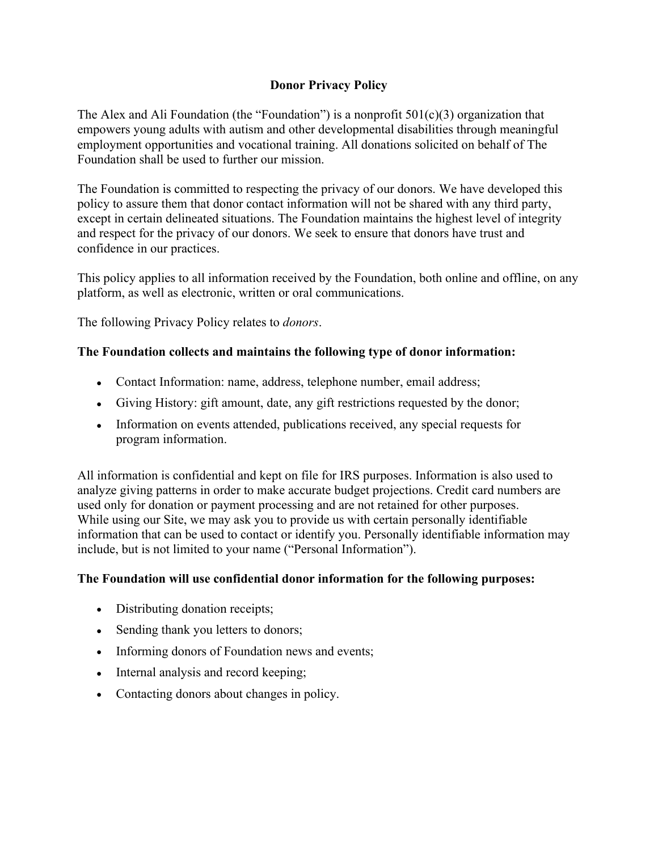# **Donor Privacy Policy**

The Alex and Ali Foundation (the "Foundation") is a nonprofit  $501(c)(3)$  organization that empowers young adults with autism and other developmental disabilities through meaningful employment opportunities and vocational training. All donations solicited on behalf of The Foundation shall be used to further our mission.

The Foundation is committed to respecting the privacy of our donors. We have developed this policy to assure them that donor contact information will not be shared with any third party, except in certain delineated situations. The Foundation maintains the highest level of integrity and respect for the privacy of our donors. We seek to ensure that donors have trust and confidence in our practices.

This policy applies to all information received by the Foundation, both online and offline, on any platform, as well as electronic, written or oral communications.

The following Privacy Policy relates to *donors*.

## **The Foundation collects and maintains the following type of donor information:**

- Contact Information: name, address, telephone number, email address;
- Giving History: gift amount, date, any gift restrictions requested by the donor;
- Information on events attended, publications received, any special requests for program information.

All information is confidential and kept on file for IRS purposes. Information is also used to analyze giving patterns in order to make accurate budget projections. Credit card numbers are used only for donation or payment processing and are not retained for other purposes. While using our Site, we may ask you to provide us with certain personally identifiable information that can be used to contact or identify you. Personally identifiable information may include, but is not limited to your name ("Personal Information").

## **The Foundation will use confidential donor information for the following purposes:**

- Distributing donation receipts;
- Sending thank you letters to donors;
- Informing donors of Foundation news and events;
- Internal analysis and record keeping;
- Contacting donors about changes in policy.